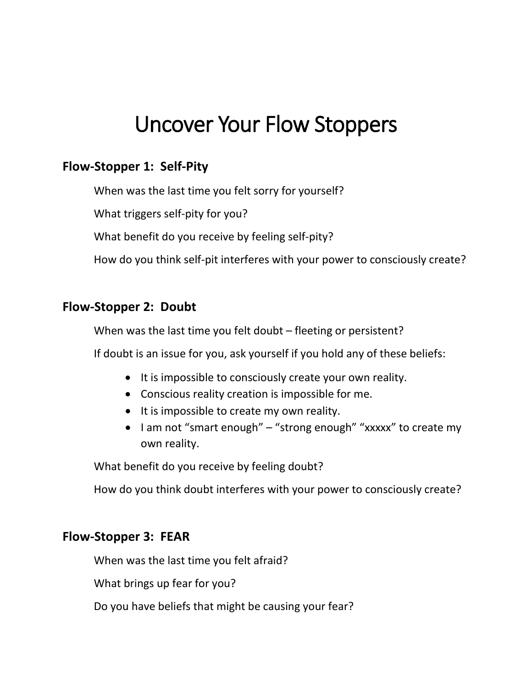# Uncover Your Flow Stoppers

# **Flow-Stopper 1: Self-Pity**

When was the last time you felt sorry for yourself?

What triggers self-pity for you?

What benefit do you receive by feeling self-pity?

How do you think self-pit interferes with your power to consciously create?

#### **Flow-Stopper 2: Doubt**

When was the last time you felt doubt – fleeting or persistent?

If doubt is an issue for you, ask yourself if you hold any of these beliefs:

- It is impossible to consciously create your own reality.
- Conscious reality creation is impossible for me.
- It is impossible to create my own reality.
- I am not "smart enough" "strong enough" "xxxxx" to create my own reality.

What benefit do you receive by feeling doubt?

How do you think doubt interferes with your power to consciously create?

#### **Flow-Stopper 3: FEAR**

When was the last time you felt afraid?

What brings up fear for you?

Do you have beliefs that might be causing your fear?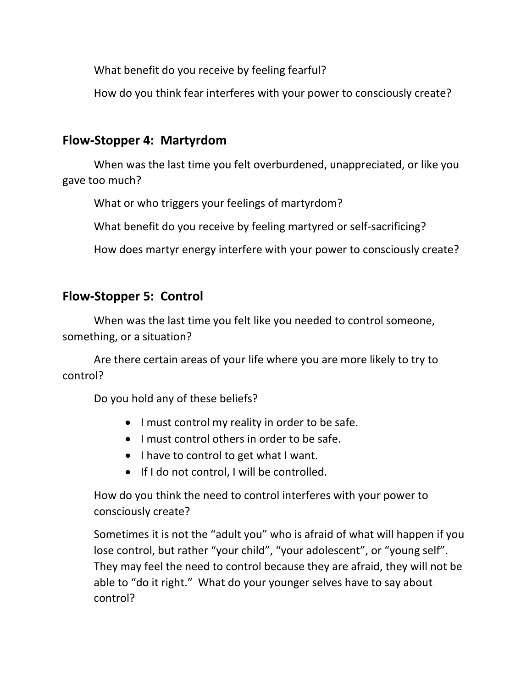What benefit do you receive by feeling fearful?

How do you think fear interferes with your power to consciously create?

# **Flow-Stopper 4: Martyrdom**

When was the last time you felt overburdened, unappreciated, or like you gave too much?

What or who triggers your feelings of martyrdom?

What benefit do you receive by feeling martyred or self-sacrificing?

How does martyr energy interfere with your power to consciously create?

# **Flow-Stopper 5: Control**

When was the last time you felt like you needed to control someone, something, or a situation?

Are there certain areas of your life where you are more likely to try to control?

Do you hold any of these beliefs?

- I must control my reality in order to be safe.
- I must control others in order to be safe.
- I have to control to get what I want.
- If I do not control, I will be controlled.

How do you think the need to control interferes with your power to consciously create?

Sometimes it is not the "adult you" who is afraid of what will happen if you lose control, but rather "your child", "your adolescent", or "young self". They may feel the need to control because they are afraid, they will not be able to "do it right." What do your younger selves have to say about control?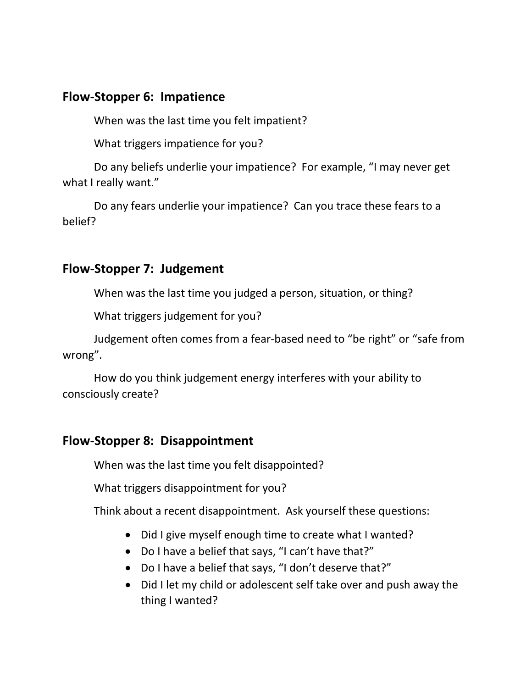### **Flow-Stopper 6: Impatience**

When was the last time you felt impatient?

What triggers impatience for you?

Do any beliefs underlie your impatience? For example, "I may never get what I really want."

Do any fears underlie your impatience? Can you trace these fears to a belief?

#### **Flow-Stopper 7: Judgement**

When was the last time you judged a person, situation, or thing?

What triggers judgement for you?

Judgement often comes from a fear-based need to "be right" or "safe from wrong".

How do you think judgement energy interferes with your ability to consciously create?

#### **Flow-Stopper 8: Disappointment**

When was the last time you felt disappointed?

What triggers disappointment for you?

Think about a recent disappointment. Ask yourself these questions:

- Did I give myself enough time to create what I wanted?
- Do I have a belief that says, "I can't have that?"
- Do I have a belief that says, "I don't deserve that?"
- Did I let my child or adolescent self take over and push away the thing I wanted?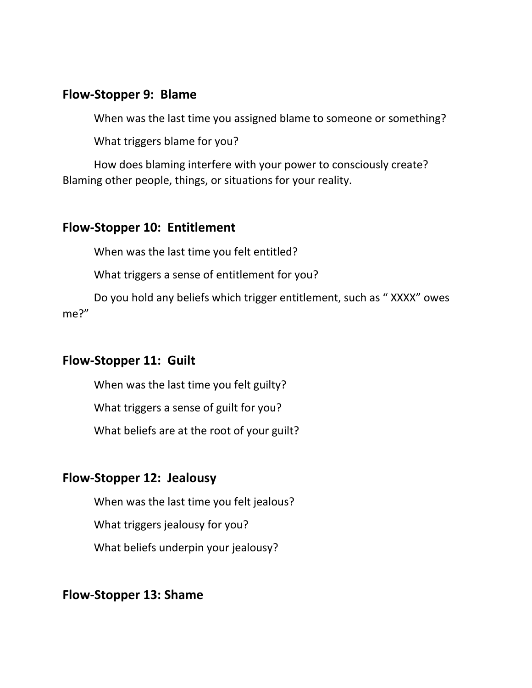#### **Flow-Stopper 9: Blame**

When was the last time you assigned blame to someone or something?

What triggers blame for you?

How does blaming interfere with your power to consciously create? Blaming other people, things, or situations for your reality.

#### **Flow-Stopper 10: Entitlement**

When was the last time you felt entitled?

What triggers a sense of entitlement for you?

Do you hold any beliefs which trigger entitlement, such as " XXXX" owes me?"

# **Flow-Stopper 11: Guilt**

When was the last time you felt guilty?

What triggers a sense of guilt for you?

What beliefs are at the root of your guilt?

# **Flow-Stopper 12: Jealousy**

When was the last time you felt jealous?

What triggers jealousy for you?

What beliefs underpin your jealousy?

# **Flow-Stopper 13: Shame**